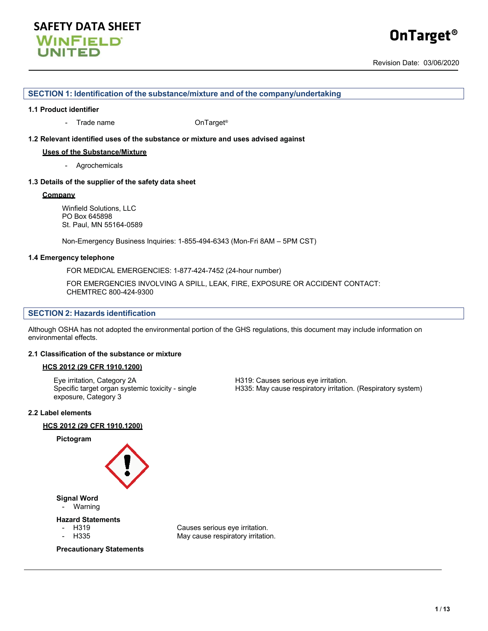## **SAFETY DATA SHEET WINFIELD UNITED**

# **OnTarget®**

Revision Date: 03/06/2020

#### **SECTION 1: Identification of the substance/mixture and of the company/undertaking**

#### **1.1 Product identifier**

- Trade name **OnTarget®** 

#### **1.2 Relevant identified uses of the substance or mixture and uses advised against**

#### **Uses of the Substance/Mixture**

- Agrochemicals

#### **1.3 Details of the supplier of the safety data sheet**

#### **Company**

Winfield Solutions, LLC PO Box 645898 St. Paul, MN 55164-0589

Non-Emergency Business Inquiries: 1-855-494-6343 (Mon-Fri 8AM – 5PM CST)

#### **1.4 Emergency telephone**

FOR MEDICAL EMERGENCIES: 1-877-424-7452 (24-hour number)

FOR EMERGENCIES INVOLVING A SPILL, LEAK, FIRE, EXPOSURE OR ACCIDENT CONTACT: CHEMTREC 800-424-9300

#### **SECTION 2: Hazards identification**

Although OSHA has not adopted the environmental portion of the GHS regulations, this document may include information on environmental effects.

#### **2.1 Classification of the substance or mixture**

#### **HCS 2012 (29 CFR 1910.1200)**

Eye irritation, Category 2A H319: Causes serious eye irritation. Specific target organ systemic toxicity - single exposure, Category 3

H335: May cause respiratory irritation. (Respiratory system)

#### **2.2 Label elements**

#### **HCS 2012 (29 CFR 1910.1200)**



**Precautionary Statements**

H335 May cause respiratory irritation.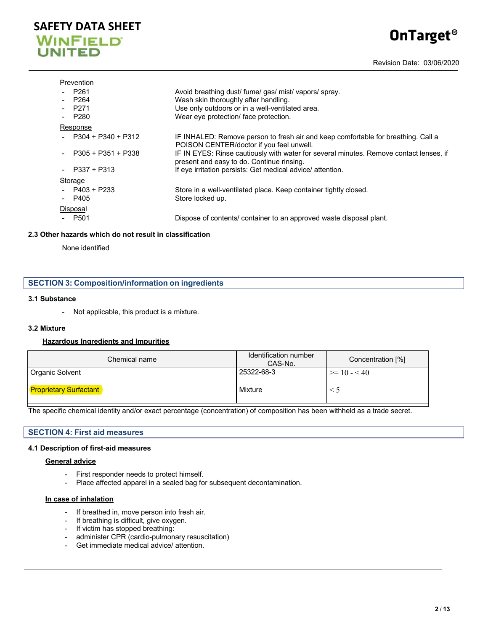## **SAFETY DATA SHEET WINFIELD UNITED**

# **OnTarget®**

Revision Date: 03/06/2020

#### Prevention

| $- P261$               | Avoid breathing dust/ fume/ gas/ mist/ vapors/ spray.                                                                               |
|------------------------|-------------------------------------------------------------------------------------------------------------------------------------|
| $-$ P <sub>264</sub>   | Wash skin thoroughly after handling.                                                                                                |
| P271                   | Use only outdoors or in a well-ventilated area.                                                                                     |
| P280                   | Wear eye protection/ face protection.                                                                                               |
| Response               |                                                                                                                                     |
| - $P304 + P340 + P312$ | IF INHALED: Remove person to fresh air and keep comfortable for breathing. Call a<br>POISON CENTER/doctor if you feel unwell.       |
| P305 + P351 + P338     | IF IN EYES: Rinse cautiously with water for several minutes. Remove contact lenses, if<br>present and easy to do. Continue rinsing. |
| $-$ P337 + P313        | If eye irritation persists: Get medical advice/ attention.                                                                          |
| Storage                |                                                                                                                                     |
| $-$ P403 + P233        | Store in a well-ventilated place. Keep container tightly closed.                                                                    |
| $-$ P405               | Store locked up.                                                                                                                    |
| Disposal               |                                                                                                                                     |
| - P501                 | Dispose of contents/ container to an approved waste disposal plant.                                                                 |

#### **2.3 Other hazards which do not result in classification**

None identified

|  | <b>SECTION 3: Composition/information on ingredients</b> |  |
|--|----------------------------------------------------------|--|
|--|----------------------------------------------------------|--|

#### **3.1 Substance**

- Not applicable, this product is a mixture.

#### **3.2 Mixture**

#### **Hazardous Ingredients and Impurities**

| Chemical name                 | Identification number<br>CAS-No. | Concentration [%] |
|-------------------------------|----------------------------------|-------------------|
| <b>Organic Solvent</b>        | 25322-68-3                       | $\geq 10 - 40$    |
| <b>Proprietary Surfactant</b> | Mixture                          |                   |

The specific chemical identity and/or exact percentage (concentration) of composition has been withheld as a trade secret.

#### **SECTION 4: First aid measures**

#### **4.1 Description of first-aid measures**

#### **General advice**

- First responder needs to protect himself.
- Place affected apparel in a sealed bag for subsequent decontamination.

#### **In case of inhalation**

- If breathed in, move person into fresh air.
- If breathing is difficult, give oxygen.
- If victim has stopped breathing:
- administer CPR (cardio-pulmonary resuscitation)
- Get immediate medical advice/ attention.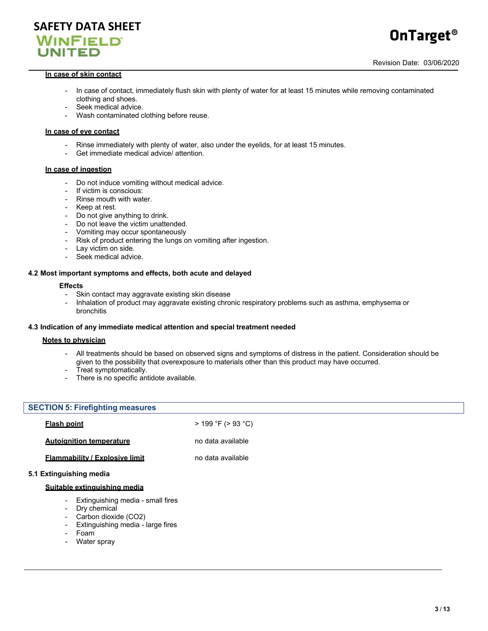

#### **In case of skin contact**

- In case of contact, immediately flush skin with plenty of water for at least 15 minutes while removing contaminated clothing and shoes.
- Seek medical advice.
- Wash contaminated clothing before reuse.

#### **In case of eye contact**

- Rinse immediately with plenty of water, also under the eyelids, for at least 15 minutes.
- Get immediate medical advice/ attention.

#### **In case of ingestion**

- Do not induce vomiting without medical advice.
- If victim is conscious:
- Rinse mouth with water.
- Keep at rest.
- Do not give anything to drink.
- 
- Do not leave the victim unattended.<br>- Vomiting may occur spontaneously - Vomiting may occur spontaneously
- Risk of product entering the lungs on vomiting after ingestion.
- Lay victim on side.
- Seek medical advice.

#### **4.2 Most important symptoms and effects, both acute and delayed**

#### **Effects**

- Skin contact may aggravate existing skin disease
- Inhalation of product may aggravate existing chronic respiratory problems such as asthma, emphysema or bronchitis

#### **4.3 Indication of any immediate medical attention and special treatment needed**

#### **Notes to physician**

- All treatments should be based on observed signs and symptoms of distress in the patient. Consideration should be given to the possibility that overexposure to materials other than this product may have occurred.
- Treat symptomatically.
- There is no specific antidote available.

#### **SECTION 5: Firefighting measures**

| <b>Flash point</b>                    | $>$ 199 °F ( $>$ 93 °C) |
|---------------------------------------|-------------------------|
| <b>Autoignition temperature</b>       | no data available       |
| <b>Flammability / Explosive limit</b> | no data available       |

#### **5.1 Extinguishing media**

#### **Suitable extinguishing media**

- Extinguishing media small fires
- Dry chemical
- Carbon dioxide (CO2)
- Extinguishing media large fires
- Foam
- Water spray

**OnTarget®**

Revision Date: 03/06/2020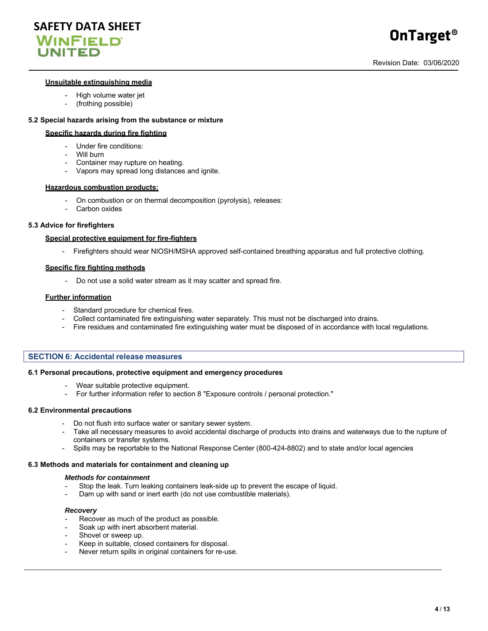



#### **Unsuitable extinguishing media**

- High volume water jet
- (frothing possible)

#### **5.2 Special hazards arising from the substance or mixture**

#### **Specific hazards during fire fighting**

- Under fire conditions:
- Will burn
- Container may rupture on heating.
- Vapors may spread long distances and ignite.

#### **Hazardous combustion products:**

- On combustion or on thermal decomposition (pyrolysis), releases:
- Carbon oxides

#### **5.3 Advice for firefighters**

#### **Special protective equipment for fire-fighters**

- Firefighters should wear NIOSH/MSHA approved self-contained breathing apparatus and full protective clothing.

#### **Specific fire fighting methods**

- Do not use a solid water stream as it may scatter and spread fire.

#### **Further information**

- Standard procedure for chemical fires.
- Collect contaminated fire extinguishing water separately. This must not be discharged into drains.
- Fire residues and contaminated fire extinguishing water must be disposed of in accordance with local regulations.

#### **SECTION 6: Accidental release measures**

#### **6.1 Personal precautions, protective equipment and emergency procedures**

- Wear suitable protective equipment.
- For further information refer to section 8 "Exposure controls / personal protection."

#### **6.2 Environmental precautions**

- Do not flush into surface water or sanitary sewer system.
- Take all necessary measures to avoid accidental discharge of products into drains and waterways due to the rupture of containers or transfer systems.
- Spills may be reportable to the National Response Center (800-424-8802) and to state and/or local agencies

#### **6.3 Methods and materials for containment and cleaning up**

#### *Methods for containment*

- Stop the leak. Turn leaking containers leak-side up to prevent the escape of liquid.
- Dam up with sand or inert earth (do not use combustible materials).

#### *Recovery*

- Recover as much of the product as possible.
- Soak up with inert absorbent material.
- Shovel or sweep up.
- Keep in suitable, closed containers for disposal.
- Never return spills in original containers for re-use.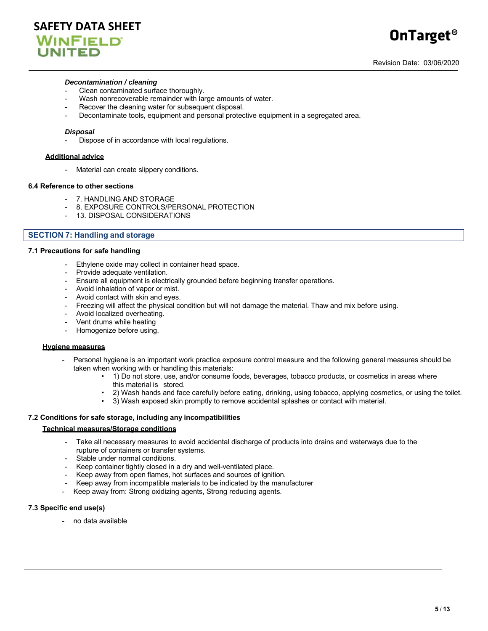#### *Decontamination / cleaning*

- Clean contaminated surface thoroughly.
- Wash nonrecoverable remainder with large amounts of water.
- Recover the cleaning water for subsequent disposal.
- Decontaminate tools, equipment and personal protective equipment in a segregated area.

#### *Disposal*

Dispose of in accordance with local regulations.

#### **Additional advice**

- Material can create slippery conditions.

#### **6.4 Reference to other sections**

- 7. HANDLING AND STORAGE
- 8. EXPOSURE CONTROLS/PERSONAL PROTECTION
- 13. DISPOSAL CONSIDERATIONS

#### **SECTION 7: Handling and storage**

#### **7.1 Precautions for safe handling**

- Ethylene oxide may collect in container head space.
- Provide adequate ventilation.
- Ensure all equipment is electrically grounded before beginning transfer operations.
- Avoid inhalation of vapor or mist.
- Avoid contact with skin and eyes.
- Freezing will affect the physical condition but will not damage the material. Thaw and mix before using.
- Avoid localized overheating.
- Vent drums while heating
- Homogenize before using.

#### **Hygiene measures**

- Personal hygiene is an important work practice exposure control measure and the following general measures should be taken when working with or handling this materials:
	- 1) Do not store, use, and/or consume foods, beverages, tobacco products, or cosmetics in areas where this material is stored.
	- 2) Wash hands and face carefully before eating, drinking, using tobacco, applying cosmetics, or using the toilet.
	- 3) Wash exposed skin promptly to remove accidental splashes or contact with material.

#### **7.2 Conditions for safe storage, including any incompatibilities**

#### **Technical measures/Storage conditions**

- Take all necessary measures to avoid accidental discharge of products into drains and waterways due to the rupture of containers or transfer systems.
- Stable under normal conditions.
- Keep container tightly closed in a dry and well-ventilated place.
- Keep away from open flames, hot surfaces and sources of ignition.
- Keep away from incompatible materials to be indicated by the manufacturer
- Keep away from: Strong oxidizing agents, Strong reducing agents.

#### **7.3 Specific end use(s)**

- no data available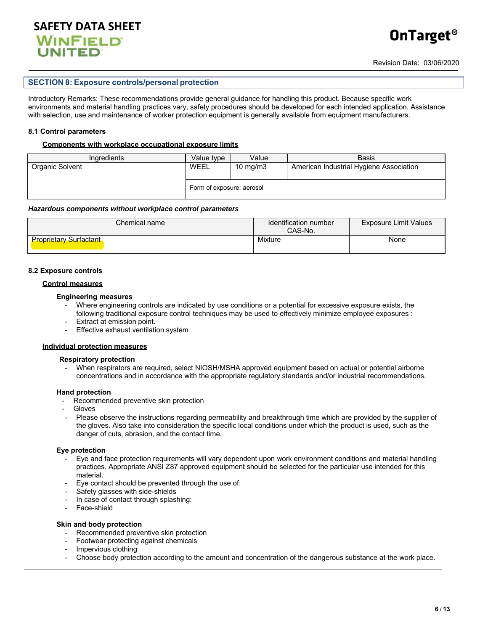

#### **SECTION 8: Exposure controls/personal protection**

Introductory Remarks: These recommendations provide general guidance for handling this product. Because specific work environments and material handling practices vary, safety procedures should be developed for each intended application. Assistance with selection, use and maintenance of worker protection equipment is generally available from equipment manufacturers.

#### **8.1 Control parameters**

#### **Components with workplace occupational exposure limits**

| <b>Ingredients</b> | Value type                | Value       | <b>Basis</b>                            |
|--------------------|---------------------------|-------------|-----------------------------------------|
| Organic Solvent    | WEEL                      | 10 mg/m $3$ | American Industrial Hygiene Association |
|                    | Form of exposure: aerosol |             |                                         |

#### *Hazardous components without workplace control parameters*

| Chemical name                 | Identification number<br>CAS-No. | <b>Exposure Limit Values</b> |
|-------------------------------|----------------------------------|------------------------------|
| <b>Proprietary Surfactant</b> | Mixture                          | None                         |

#### **8.2 Exposure controls**

#### **Control measures**

#### **Engineering measures**

- Where engineering controls are indicated by use conditions or a potential for excessive exposure exists, the following traditional exposure control techniques may be used to effectively minimize employee exposures :
- Extract at emission point.
- Effective exhaust ventilation system

#### **Individual protection measures**

#### **Respiratory protection**

When respirators are required, select NIOSH/MSHA approved equipment based on actual or potential airborne concentrations and in accordance with the appropriate regulatory standards and/or industrial recommendations.

#### **Hand protection**

- Recommended preventive skin protection
- **Gloves**
- Please observe the instructions regarding permeability and breakthrough time which are provided by the supplier of the gloves. Also take into consideration the specific local conditions under which the product is used, such as the danger of cuts, abrasion, and the contact time.

#### **Eye protection**

- Eye and face protection requirements will vary dependent upon work environment conditions and material handling practices. Appropriate ANSI Z87 approved equipment should be selected for the particular use intended for this material.
- Eye contact should be prevented through the use of:
- Safety glasses with side-shields
- In case of contact through splashing:
- Face-shield

#### **Skin and body protection**

- Recommended preventive skin protection
- Footwear protecting against chemicals
- Impervious clothing
- Choose body protection according to the amount and concentration of the dangerous substance at the work place.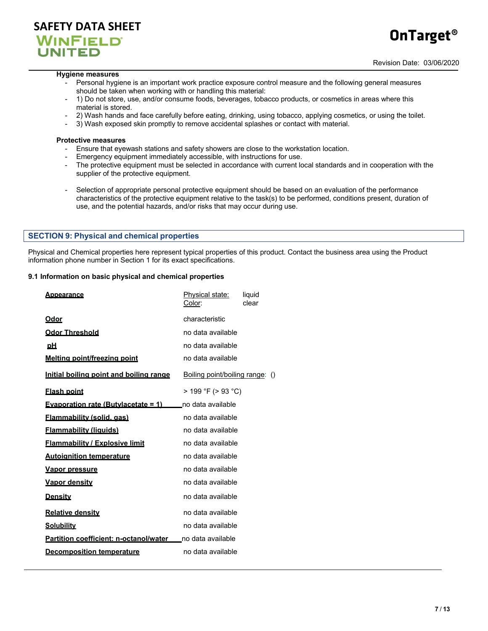

# **OnTarget®**

#### **Hygiene measures**

- Personal hygiene is an important work practice exposure control measure and the following general measures should be taken when working with or handling this material:
- 1) Do not store, use, and/or consume foods, beverages, tobacco products, or cosmetics in areas where this material is stored.
- 2) Wash hands and face carefully before eating, drinking, using tobacco, applying cosmetics, or using the toilet.
- 3) Wash exposed skin promptly to remove accidental splashes or contact with material.

#### **Protective measures**

- Ensure that eyewash stations and safety showers are close to the workstation location.
- Emergency equipment immediately accessible, with instructions for use.
- The protective equipment must be selected in accordance with current local standards and in cooperation with the supplier of the protective equipment.
- Selection of appropriate personal protective equipment should be based on an evaluation of the performance characteristics of the protective equipment relative to the task(s) to be performed, conditions present, duration of use, and the potential hazards, and/or risks that may occur during use.

#### **SECTION 9: Physical and chemical properties**

Physical and Chemical properties here represent typical properties of this product. Contact the business area using the Product information phone number in Section 1 for its exact specifications.

#### **9.1 Information on basic physical and chemical properties**

| <b>Appearance</b>                              | Physical state:<br>Color:       | liquid<br>clear |
|------------------------------------------------|---------------------------------|-----------------|
| <u>Odor</u>                                    | characteristic                  |                 |
| <b>Odor Threshold</b>                          | no data available               |                 |
| <u>pH</u>                                      | no data available               |                 |
| Melting point/freezing point                   | no data available               |                 |
| Initial boiling point and boiling range        | Boiling point/boiling range: () |                 |
| <b>Flash point</b>                             | > 199 °F (> 93 °C)              |                 |
| <b>Evaporation rate (Butvlacetate = 1)</b>     | no data available               |                 |
| <u>Flammability (solid. gas)</u>               | no data available               |                 |
| <u>Flammability (liquids)</u>                  | no data available               |                 |
| <b>Flammability / Explosive limit</b>          | no data available               |                 |
| <b>Autoignition temperature</b>                | no data available               |                 |
| <u>Vapor pressure</u>                          | no data available               |                 |
| <u>Vapor densitv</u>                           | no data available               |                 |
| <u>Density</u>                                 | no data available               |                 |
| <b>Relative density</b>                        | no data available               |                 |
| <u>Solubility</u>                              | no data available               |                 |
| <u>Partition coefficient: n-octanol/water_</u> | no data available               |                 |
| <b>Decomposition temperature</b>               | no data available               |                 |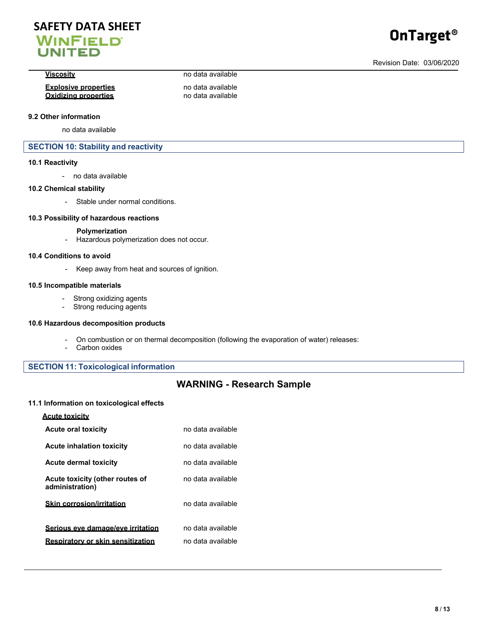## **SAFETY DATA SHEET WINFIELD UNITED**

# **OnTarget®**

#### **Viscosity** no data available

#### **Explosive properties** no data available **Oxidizing properties**

#### **9.2 Other information**

no data available

#### **SECTION 10: Stability and reactivity**

#### **10.1 Reactivity**

- no data available

#### **10.2 Chemical stability**

- Stable under normal conditions.

#### **10.3 Possibility of hazardous reactions**

#### **Polymerization**

- Hazardous polymerization does not occur.

#### **10.4 Conditions to avoid**

- Keep away from heat and sources of ignition.

#### **10.5 Incompatible materials**

- Strong oxidizing agents
- Strong reducing agents

#### **10.6 Hazardous decomposition products**

- On combustion or on thermal decomposition (following the evaporation of water) releases:
- Carbon oxides

### **SECTION 11: Toxicological information**

## **WARNING - Research Sample**

#### **11.1 Information on toxicological effects**

| <b>Acute toxicity</b>                              |                   |
|----------------------------------------------------|-------------------|
| <b>Acute oral toxicity</b>                         | no data available |
| <b>Acute inhalation toxicity</b>                   | no data available |
| <b>Acute dermal toxicity</b>                       | no data available |
| Acute toxicity (other routes of<br>administration) | no data available |
| <b>Skin corrosion/irritation</b>                   | no data available |
| Serious eve damage/eve irritation                  | no data available |
| <b>Respiratory or skin sensitization</b>           | no data available |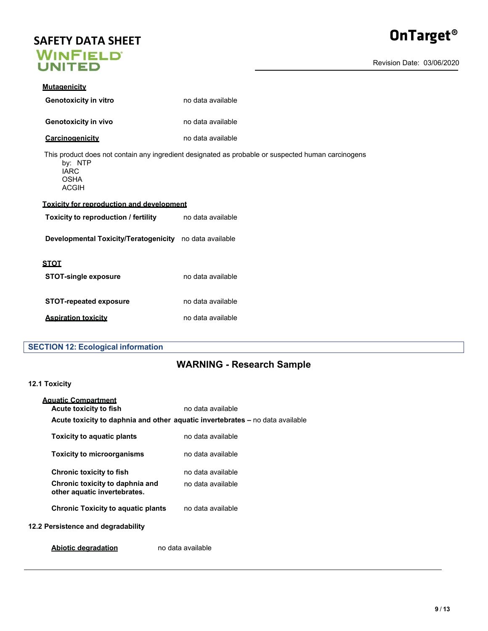# **SAFETY DATA SHEET<br>WINFIELD<br>UNITED**



Revision Date: 03/06/2020

| <b>Mutagenicity</b>                                     |                                                                                                    |  |  |
|---------------------------------------------------------|----------------------------------------------------------------------------------------------------|--|--|
| <b>Genotoxicity in vitro</b>                            | no data available                                                                                  |  |  |
| <b>Genotoxicity in vivo</b>                             | no data available                                                                                  |  |  |
| Carcinogenicity                                         | no data available                                                                                  |  |  |
| by: NTP<br><b>IARC</b><br><b>OSHA</b><br><b>ACGIH</b>   | This product does not contain any ingredient designated as probable or suspected human carcinogens |  |  |
|                                                         | <b>Toxicity for reproduction and development</b>                                                   |  |  |
| Toxicity to reproduction / fertility                    | no data available                                                                                  |  |  |
| Developmental Toxicity/Teratogenicity no data available |                                                                                                    |  |  |
| <b>STOT</b>                                             |                                                                                                    |  |  |
| <b>STOT-single exposure</b>                             | no data available                                                                                  |  |  |
| <b>STOT-repeated exposure</b>                           | no data available                                                                                  |  |  |
| <b>Aspiration toxicity</b>                              | no data available                                                                                  |  |  |

### **SECTION 12: Ecological information**

## **WARNING - Research Sample**

#### **12.1 Toxicity**

| <b>Aquatic Compartment</b>                                      |                                                                               |  |
|-----------------------------------------------------------------|-------------------------------------------------------------------------------|--|
| Acute toxicity to fish                                          | no data available                                                             |  |
|                                                                 | Acute toxicity to daphnia and other aquatic invertebrates - no data available |  |
| <b>Toxicity to aquatic plants</b>                               | no data available                                                             |  |
| <b>Toxicity to microorganisms</b>                               | no data available                                                             |  |
| <b>Chronic toxicity to fish</b>                                 | no data available                                                             |  |
| Chronic toxicity to daphnia and<br>other aquatic invertebrates. | no data available.                                                            |  |
| <b>Chronic Toxicity to aquatic plants</b>                       | no data available                                                             |  |
| Persistence and degradability                                   |                                                                               |  |
|                                                                 |                                                                               |  |

**Abiotic degradation** no data available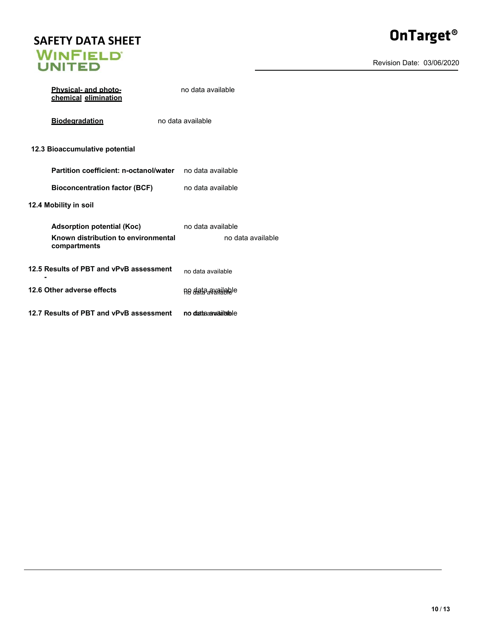# **SAFETY DATA SHEET<br>WINFIELD<br>UNITED**

Revision Date: 03/06/2020

| <b>Physical- and photo-</b><br>chemical elimination                                      | no data available                      |
|------------------------------------------------------------------------------------------|----------------------------------------|
| <b>Biodegradation</b>                                                                    | no data available                      |
| 12.3 Bioaccumulative potential                                                           |                                        |
| Partition coefficient: n-octanol/water                                                   | no data available                      |
| <b>Bioconcentration factor (BCF)</b>                                                     | no data available                      |
| 12.4 Mobility in soil                                                                    |                                        |
| <b>Adsorption potential (Koc)</b><br>Known distribution to environmental<br>compartments | no data available<br>no data available |
| 12.5 Results of PBT and vPvB assessment                                                  | no data available                      |
| 12.6 Other adverse effects                                                               | ne data ayailele                       |
| 12.7 Results of PBT and vPvB assessment                                                  | no data awailalele                     |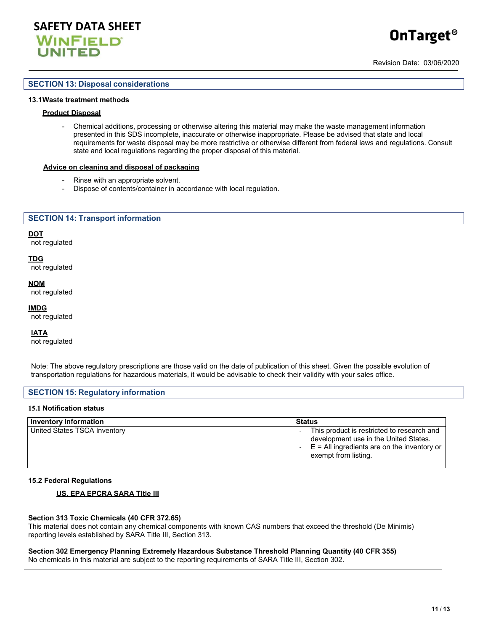

# **OnTarget®**

Revision Date: 03/06/2020

#### **SECTION 13: Disposal considerations**

#### **13.1 Waste treatment methods**

#### **Product Disposal**

- Chemical additions, processing or otherwise altering this material may make the waste management information presented in this SDS incomplete, inaccurate or otherwise inappropriate. Please be advised that state and local requirements for waste disposal may be more restrictive or otherwise different from federal laws and regulations. Consult state and local regulations regarding the proper disposal of this material.

#### **Advice on cleaning and disposal of packaging**

- Rinse with an appropriate solvent.
- Dispose of contents/container in accordance with local regulation.

#### **SECTION 14: Transport information**

#### **DOT**

not regulated

#### **TDG**

not regulated

#### **NOM**

not regulated

#### **IMDG**

not regulated

#### **IATA**

not regulated

Note: The above regulatory prescriptions are those valid on the date of publication of this sheet. Given the possible evolution of transportation regulations for hazardous materials, it would be advisable to check their validity with your sales office.

#### **SECTION 15: Regulatory information**

#### **15.1 Notification status**

| <b>Inventory Information</b> | <b>Status</b>                                                                                                                                                |
|------------------------------|--------------------------------------------------------------------------------------------------------------------------------------------------------------|
| United States TSCA Inventory | This product is restricted to research and<br>development use in the United States.<br>$E =$ All ingredients are on the inventory or<br>exempt from listing. |

#### **15.2 Federal Regulations**

#### **US. EPA EPCRA SARA Title III**

#### **Section 313 Toxic Chemicals (40 CFR 372.65)**

This material does not contain any chemical components with known CAS numbers that exceed the threshold (De Minimis) reporting levels established by SARA Title III, Section 313.

#### **Section 302 Emergency Planning Extremely Hazardous Substance Threshold Planning Quantity (40 CFR 355)** No chemicals in this material are subject to the reporting requirements of SARA Title III, Section 302.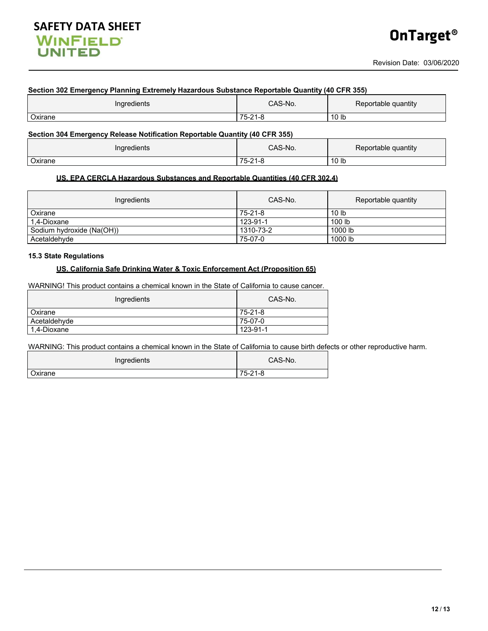# **SAFETY DATA SHEET**<br>**WINFIELD UNITED**

## **Section 302 Emergency Planning Extremely Hazardous Substance Reportable Quantity (40 CFR 355)** Ingredients **CAS-No.** Reportable quantity Oxirane 75-21-8 10 lb **Section 304 Emergency Release Notification Reportable Quantity (40 CFR 355)**

| $\sim$<br>Indredients<br>. . | S-No.<br>ົ^ ^ -                   | .<br>quantity<br>таріє |
|------------------------------|-----------------------------------|------------------------|
| $\sim$ virono<br>∠xırane     | 75<br>$\sim$<br>-<br>$-1$<br>- 11 | 10 lb                  |

#### **US. EPA CERCLA Hazardous Substances and Reportable Quantities (40 CFR 302.4)**

| Ingredients               | CAS-No.   | Reportable quantity |
|---------------------------|-----------|---------------------|
| Oxirane                   | 75-21-8   | 10 <sub>lb</sub>    |
| 1.4-Dioxane               | 123-91-1  | 100 <sub>lb</sub>   |
| Sodium hydroxide (Na(OH)) | 1310-73-2 | 1000 lb             |
| Acetaldehyde              | 75-07-0   | 1000 lb             |

#### **15.3 State Regulations**

#### **US. California Safe Drinking Water & Toxic Enforcement Act (Proposition 65)**

WARNING! This product contains a chemical known in the State of California to cause cancer.

| Ingredients    | CAS-No.  |
|----------------|----------|
| <b>Oxirane</b> | 75-21-8  |
| Acetaldehyde   | 75-07-0  |
| 1,4-Dioxane    | 123-91-1 |

WARNING: This product contains a chemical known in the State of California to cause birth defects or other reproductive harm.

| Ingredients | CAS-No. |
|-------------|---------|
| Oxirane     | 75-21-8 |